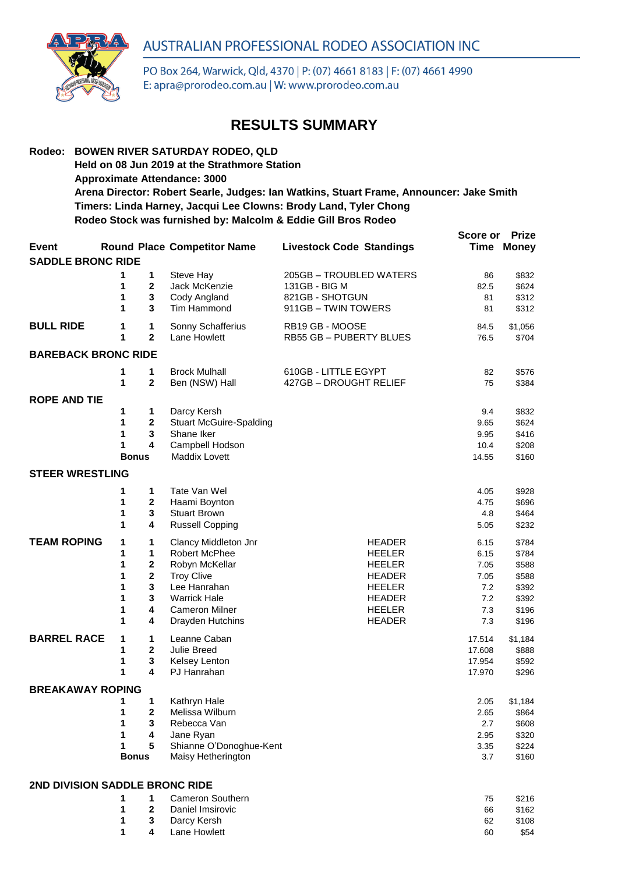



PO Box 264, Warwick, Qld, 4370 | P: (07) 4661 8183 | F: (07) 4661 4990 E: apra@prorodeo.com.au | W: www.prorodeo.com.au

## **RESULTS SUMMARY**

### **Rodeo: BOWEN RIVER SATURDAY RODEO, QLD**

**Held on 08 Jun 2019 at the Strathmore Station**

**Approximate Attendance: 3000**

**Arena Director: Robert Searle, Judges: Ian Watkins, Stuart Frame, Announcer: Jake Smith Timers: Linda Harney, Jacqui Lee Clowns: Brody Land, Tyler Chong Rodeo Stock was furnished by: Malcolm & Eddie Gill Bros Rodeo**

| <b>Event</b>               |                                       |                                                            | <b>Round Place Competitor Name</b>                                                                                                                               | <b>Livestock Code Standings</b>                                                                                                      | Score or                                                 | <b>Prize</b><br><b>Time Money</b>                                    |  |  |
|----------------------------|---------------------------------------|------------------------------------------------------------|------------------------------------------------------------------------------------------------------------------------------------------------------------------|--------------------------------------------------------------------------------------------------------------------------------------|----------------------------------------------------------|----------------------------------------------------------------------|--|--|
| <b>SADDLE BRONC RIDE</b>   |                                       |                                                            |                                                                                                                                                                  |                                                                                                                                      |                                                          |                                                                      |  |  |
|                            | 1<br>1<br>1<br>1                      | 1<br>$\mathbf{2}$<br>3<br>3                                | Steve Hay<br>Jack McKenzie<br>Cody Angland<br>Tim Hammond                                                                                                        | 205GB - TROUBLED WATERS<br>131GB - BIG M<br>821GB - SHOTGUN<br>911GB - TWIN TOWERS                                                   | 86<br>82.5<br>81<br>81                                   | \$832<br>\$624<br>\$312<br>\$312                                     |  |  |
| <b>BULL RIDE</b>           | 1<br>1                                | 1<br>$\overline{2}$                                        | Sonny Schafferius<br>Lane Howlett                                                                                                                                | RB19 GB - MOOSE<br>RB55 GB - PUBERTY BLUES                                                                                           | 84.5<br>76.5                                             | \$1,056<br>\$704                                                     |  |  |
| <b>BAREBACK BRONC RIDE</b> |                                       |                                                            |                                                                                                                                                                  |                                                                                                                                      |                                                          |                                                                      |  |  |
|                            | 1<br>1                                | 1<br>$\mathbf 2$                                           | <b>Brock Mulhall</b><br>Ben (NSW) Hall                                                                                                                           | 610GB - LITTLE EGYPT<br>427GB - DROUGHT RELIEF                                                                                       | 82<br>75                                                 | \$576<br>\$384                                                       |  |  |
| <b>ROPE AND TIE</b>        | 1<br>1<br>1<br>1<br><b>Bonus</b>      | 1<br>2<br>3<br>4                                           | Darcy Kersh<br><b>Stuart McGuire-Spalding</b><br>Shane Iker<br>Campbell Hodson<br>Maddix Lovett                                                                  |                                                                                                                                      | 9.4<br>9.65<br>9.95<br>10.4<br>14.55                     | \$832<br>\$624<br>\$416<br>\$208<br>\$160                            |  |  |
| <b>STEER WRESTLING</b>     |                                       |                                                            |                                                                                                                                                                  |                                                                                                                                      |                                                          |                                                                      |  |  |
|                            | 1<br>1<br>1<br>1                      | 1<br>2<br>3<br>4                                           | Tate Van Wel<br>Haami Boynton<br><b>Stuart Brown</b><br><b>Russell Copping</b>                                                                                   |                                                                                                                                      | 4.05<br>4.75<br>4.8<br>5.05                              | \$928<br>\$696<br>\$464<br>\$232                                     |  |  |
| <b>TEAM ROPING</b>         | 1<br>1<br>1<br>1<br>1<br>1<br>1<br>1  | 1<br>1<br>2<br>$\overline{\mathbf{2}}$<br>3<br>3<br>4<br>4 | Clancy Middleton Jnr<br>Robert McPhee<br>Robyn McKellar<br><b>Troy Clive</b><br>Lee Hanrahan<br><b>Warrick Hale</b><br><b>Cameron Milner</b><br>Drayden Hutchins | <b>HEADER</b><br><b>HEELER</b><br><b>HEELER</b><br><b>HEADER</b><br><b>HEELER</b><br><b>HEADER</b><br><b>HEELER</b><br><b>HEADER</b> | 6.15<br>6.15<br>7.05<br>7.05<br>7.2<br>7.2<br>7.3<br>7.3 | \$784<br>\$784<br>\$588<br>\$588<br>\$392<br>\$392<br>\$196<br>\$196 |  |  |
| <b>BARREL RACE</b>         | 1<br>1<br>1<br>1                      | 1<br>$\overline{2}$<br>3<br>4                              | Leanne Caban<br><b>Julie Breed</b><br>Kelsey Lenton<br>PJ Hanrahan                                                                                               |                                                                                                                                      | 17.514<br>17.608<br>17.954<br>17.970                     | \$1,184<br>\$888<br>\$592<br>\$296                                   |  |  |
| <b>BREAKAWAY ROPING</b>    | 1<br>1<br>1<br>1<br>1<br><b>Bonus</b> | 1<br>$\overline{\mathbf{2}}$<br>3<br>4<br>5                | Kathryn Hale<br>Melissa Wilburn<br>Rebecca Van<br>Jane Ryan<br>Shianne O'Donoghue-Kent<br>Maisy Hetherington                                                     |                                                                                                                                      | 2.05<br>2.65<br>2.7<br>2.95<br>3.35<br>3.7               | \$1,184<br>\$864<br>\$608<br>\$320<br>\$224<br>\$160                 |  |  |

#### **2ND DIVISION SADDLE BRONC RIDE**

|  | 1 1 Cameron Southern | 75 | \$216 |
|--|----------------------|----|-------|
|  | 1 2 Daniel Imsirovic | 66 | \$162 |
|  | 1 3 Darcy Kersh      | 62 | \$108 |
|  | 1 4 Lane Howlett     | 60 | \$54  |